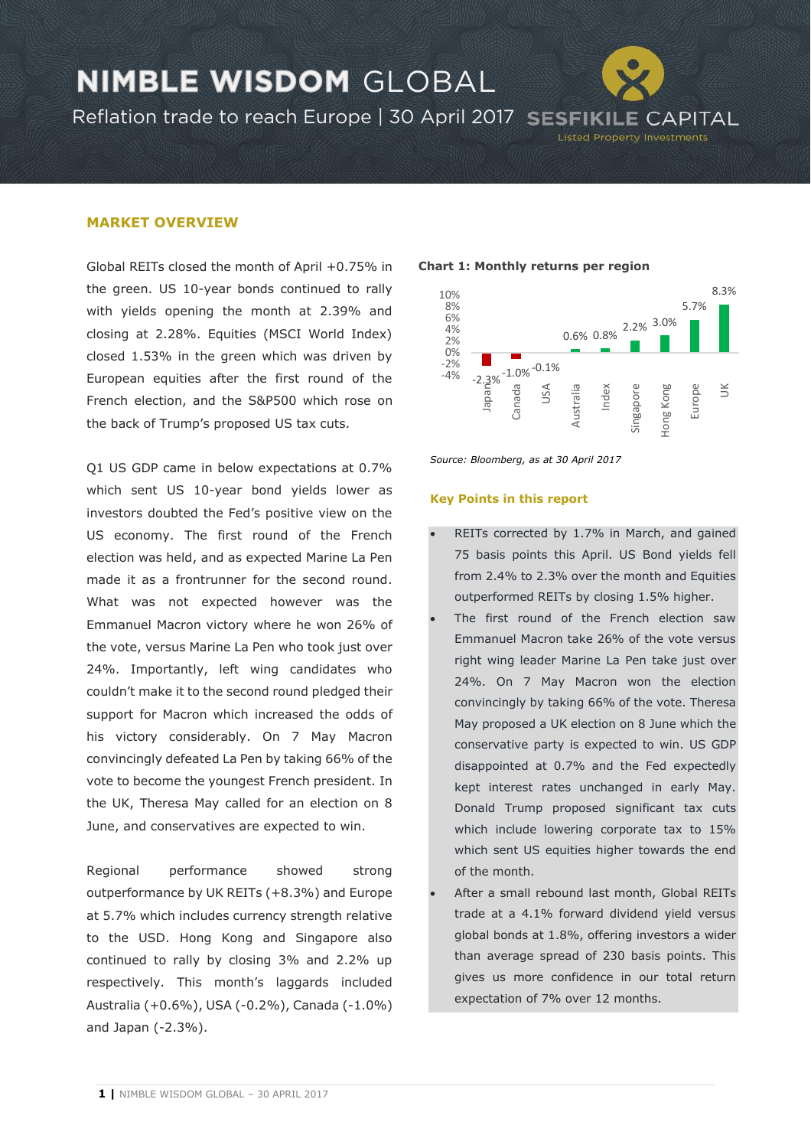### **NIMBLE WISDOM GLOBAL** Reflation trade to reach Europe | 30 April 2017 SESFIKILE CAPITAL **Listed Property Investments**

### **MARKET OVERVIEW**

Global REITs closed the month of April +0.75% in the green. US 10-year bonds continued to rally with yields opening the month at 2.39% and closing at 2.28%. Equities (MSCI World Index) closed 1.53% in the green which was driven by European equities after the first round of the French election, and the S&P500 which rose on the back of Trump's proposed US tax cuts.

Q1 US GDP came in below expectations at 0.7% which sent US 10-year bond yields lower as investors doubted the Fed's positive view on the US economy. The first round of the French election was held, and as expected Marine La Pen made it as a frontrunner for the second round. What was not expected however was the Emmanuel Macron victory where he won 26% of the vote, versus Marine La Pen who took just over 24%. Importantly, left wing candidates who couldn't make it to the second round pledged their support for Macron which increased the odds of his victory considerably. On 7 May Macron convincingly defeated La Pen by taking 66% of the vote to become the youngest French president. In the UK, Theresa May called for an election on 8 June, and conservatives are expected to win.

Regional performance showed strong outperformance by UK REITs (+8.3%) and Europe at 5.7% which includes currency strength relative to the USD. Hong Kong and Singapore also continued to rally by closing 3% and 2.2% up respectively. This month's laggards included Australia (+0.6%), USA (-0.2%), Canada (-1.0%) and Japan (-2.3%).

#### **Chart 1: Monthly returns per region**



*Source: Bloomberg, as at 30 April 2017*

#### **Key Points in this report**

- REITs corrected by 1.7% in March, and gained 75 basis points this April. US Bond yields fell from 2.4% to 2.3% over the month and Equities outperformed REITs by closing 1.5% higher.
- The first round of the French election saw Emmanuel Macron take 26% of the vote versus right wing leader Marine La Pen take just over 24%. On 7 May Macron won the election convincingly by taking 66% of the vote. Theresa May proposed a UK election on 8 June which the conservative party is expected to win. US GDP disappointed at 0.7% and the Fed expectedly kept interest rates unchanged in early May. Donald Trump proposed significant tax cuts which include lowering corporate tax to 15% which sent US equities higher towards the end of the month.
- After a small rebound last month, Global REITs trade at a 4.1% forward dividend yield versus global bonds at 1.8%, offering investors a wider than average spread of 230 basis points. This gives us more confidence in our total return expectation of 7% over 12 months.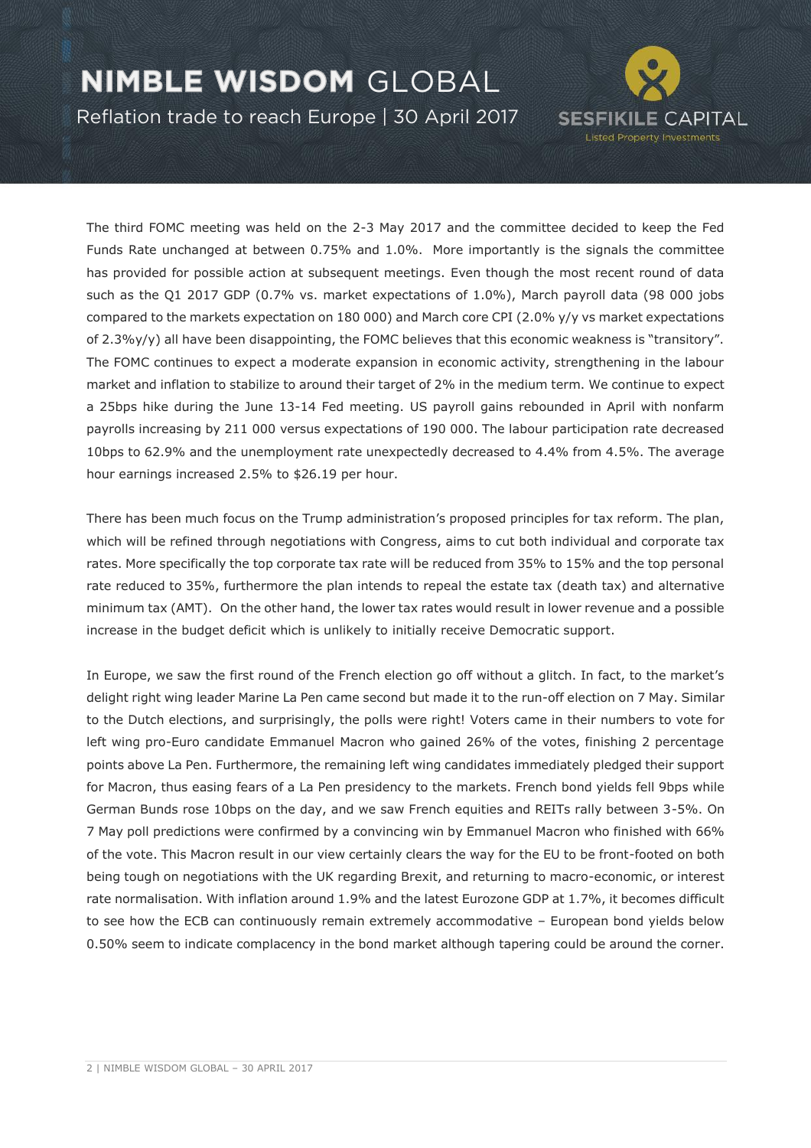Reflation trade to reach Europe | 30 April 2017



The third FOMC meeting was held on the 2-3 May 2017 and the committee decided to keep the Fed Funds Rate unchanged at between 0.75% and 1.0%. More importantly is the signals the committee has provided for possible action at subsequent meetings. Even though the most recent round of data such as the Q1 2017 GDP (0.7% vs. market expectations of 1.0%), March payroll data (98 000 jobs compared to the markets expectation on 180 000) and March core CPI (2.0% y/y vs market expectations of 2.3%y/y) all have been disappointing, the FOMC believes that this economic weakness is "transitory". The FOMC continues to expect a moderate expansion in economic activity, strengthening in the labour market and inflation to stabilize to around their target of 2% in the medium term. We continue to expect a 25bps hike during the June 13-14 Fed meeting. US payroll gains rebounded in April with nonfarm payrolls increasing by 211 000 versus expectations of 190 000. The labour participation rate decreased 10bps to 62.9% and the unemployment rate unexpectedly decreased to 4.4% from 4.5%. The average hour earnings increased 2.5% to \$26.19 per hour.

There has been much focus on the Trump administration's proposed principles for tax reform. The plan, which will be refined through negotiations with Congress, aims to cut both individual and corporate tax rates. More specifically the top corporate tax rate will be reduced from 35% to 15% and the top personal rate reduced to 35%, furthermore the plan intends to repeal the estate tax (death tax) and alternative minimum tax (AMT). On the other hand, the lower tax rates would result in lower revenue and a possible increase in the budget deficit which is unlikely to initially receive Democratic support.

In Europe, we saw the first round of the French election go off without a glitch. In fact, to the market's delight right wing leader Marine La Pen came second but made it to the run-off election on 7 May. Similar to the Dutch elections, and surprisingly, the polls were right! Voters came in their numbers to vote for left wing pro-Euro candidate Emmanuel Macron who gained 26% of the votes, finishing 2 percentage points above La Pen. Furthermore, the remaining left wing candidates immediately pledged their support for Macron, thus easing fears of a La Pen presidency to the markets. French bond yields fell 9bps while German Bunds rose 10bps on the day, and we saw French equities and REITs rally between 3-5%. On 7 May poll predictions were confirmed by a convincing win by Emmanuel Macron who finished with 66% of the vote. This Macron result in our view certainly clears the way for the EU to be front-footed on both being tough on negotiations with the UK regarding Brexit, and returning to macro-economic, or interest rate normalisation. With inflation around 1.9% and the latest Eurozone GDP at 1.7%, it becomes difficult to see how the ECB can continuously remain extremely accommodative – European bond yields below 0.50% seem to indicate complacency in the bond market although tapering could be around the corner.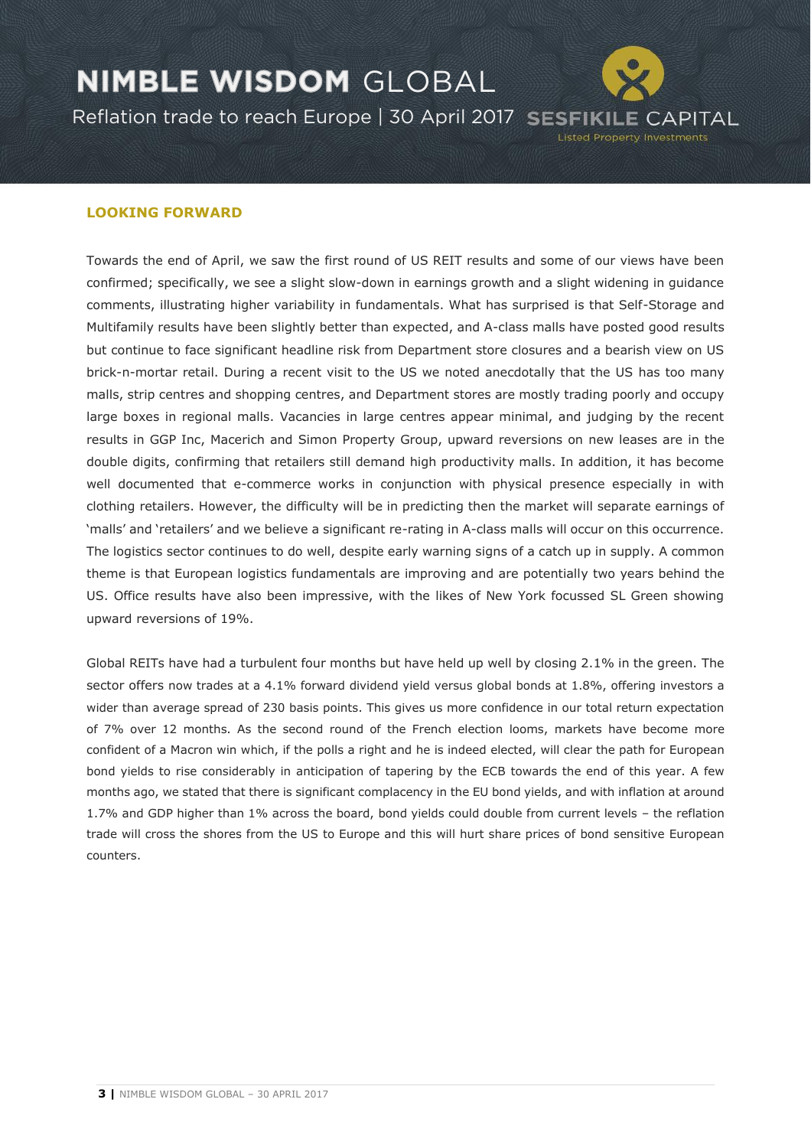

### **LOOKING FORWARD**

Towards the end of April, we saw the first round of US REIT results and some of our views have been confirmed; specifically, we see a slight slow-down in earnings growth and a slight widening in guidance comments, illustrating higher variability in fundamentals. What has surprised is that Self-Storage and Multifamily results have been slightly better than expected, and A-class malls have posted good results but continue to face significant headline risk from Department store closures and a bearish view on US brick-n-mortar retail. During a recent visit to the US we noted anecdotally that the US has too many malls, strip centres and shopping centres, and Department stores are mostly trading poorly and occupy large boxes in regional malls. Vacancies in large centres appear minimal, and judging by the recent results in GGP Inc, Macerich and Simon Property Group, upward reversions on new leases are in the double digits, confirming that retailers still demand high productivity malls. In addition, it has become well documented that e-commerce works in conjunction with physical presence especially in with clothing retailers. However, the difficulty will be in predicting then the market will separate earnings of 'malls' and 'retailers' and we believe a significant re-rating in A-class malls will occur on this occurrence. The logistics sector continues to do well, despite early warning signs of a catch up in supply. A common theme is that European logistics fundamentals are improving and are potentially two years behind the US. Office results have also been impressive, with the likes of New York focussed SL Green showing upward reversions of 19%.

Global REITs have had a turbulent four months but have held up well by closing 2.1% in the green. The sector offers now trades at a 4.1% forward dividend yield versus global bonds at 1.8%, offering investors a wider than average spread of 230 basis points. This gives us more confidence in our total return expectation of 7% over 12 months. As the second round of the French election looms, markets have become more confident of a Macron win which, if the polls a right and he is indeed elected, will clear the path for European bond yields to rise considerably in anticipation of tapering by the ECB towards the end of this year. A few months ago, we stated that there is significant complacency in the EU bond yields, and with inflation at around 1.7% and GDP higher than 1% across the board, bond yields could double from current levels – the reflation trade will cross the shores from the US to Europe and this will hurt share prices of bond sensitive European counters.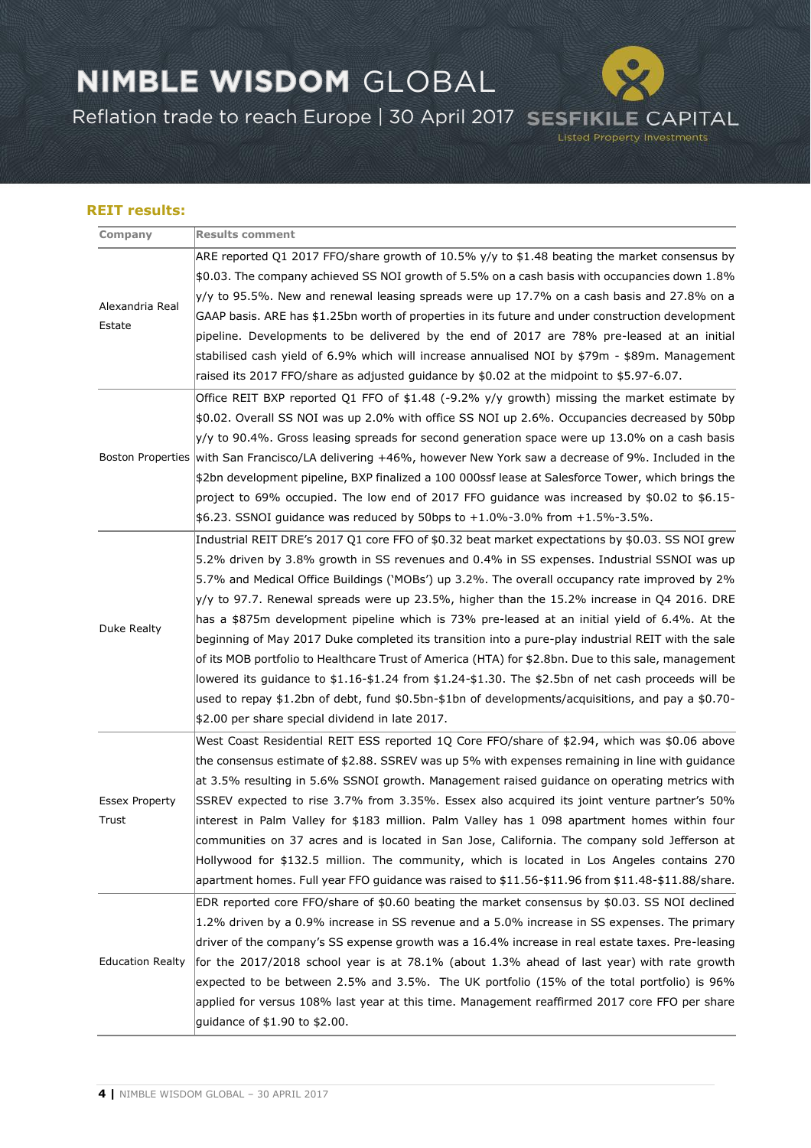Reflation trade to reach Europe | 30 April 2017 SESFIKILE CAPITAL

**Listed Property Investments** 

### **REIT results:**

| Company                        | <b>Results comment</b>                                                                                          |
|--------------------------------|-----------------------------------------------------------------------------------------------------------------|
| Alexandria Real<br>Estate      | ARE reported Q1 2017 FFO/share growth of 10.5% y/y to \$1.48 beating the market consensus by                    |
|                                | \$0.03. The company achieved SS NOI growth of 5.5% on a cash basis with occupancies down 1.8%                   |
|                                | $y/y$ to 95.5%. New and renewal leasing spreads were up 17.7% on a cash basis and 27.8% on a                    |
|                                | GAAP basis. ARE has \$1.25bn worth of properties in its future and under construction development               |
|                                | pipeline. Developments to be delivered by the end of 2017 are 78% pre-leased at an initial                      |
|                                | stabilised cash yield of 6.9% which will increase annualised NOI by \$79m - \$89m. Management                   |
|                                | raised its 2017 FFO/share as adjusted guidance by \$0.02 at the midpoint to \$5.97-6.07.                        |
|                                | Office REIT BXP reported Q1 FFO of \$1.48 (-9.2% y/y growth) missing the market estimate by                     |
|                                | \$0.02. Overall SS NOI was up 2.0% with office SS NOI up 2.6%. Occupancies decreased by 50bp                    |
|                                | $ y/y $ to 90.4%. Gross leasing spreads for second generation space were up 13.0% on a cash basis               |
|                                | Boston Properties with San Francisco/LA delivering +46%, however New York saw a decrease of 9%. Included in the |
|                                | \$2bn development pipeline, BXP finalized a 100 000ssf lease at Salesforce Tower, which brings the              |
|                                | project to 69% occupied. The low end of 2017 FFO guidance was increased by \$0.02 to \$6.15-                    |
|                                | $$6.23$ . SSNOI guidance was reduced by 50bps to $+1.0\%$ -3.0% from $+1.5\%$ -3.5%.                            |
| Duke Realty                    | Industrial REIT DRE's 2017 Q1 core FFO of \$0.32 beat market expectations by \$0.03. SS NOI grew                |
|                                | 5.2% driven by 3.8% growth in SS revenues and 0.4% in SS expenses. Industrial SSNOI was up                      |
|                                | 5.7% and Medical Office Buildings ('MOBs') up 3.2%. The overall occupancy rate improved by 2%                   |
|                                | $ y/y $ to 97.7. Renewal spreads were up 23.5%, higher than the 15.2% increase in Q4 2016. DRE                  |
|                                | has a \$875m development pipeline which is 73% pre-leased at an initial yield of 6.4%. At the                   |
|                                | beginning of May 2017 Duke completed its transition into a pure-play industrial REIT with the sale              |
|                                | of its MOB portfolio to Healthcare Trust of America (HTA) for \$2.8bn. Due to this sale, management             |
|                                | lowered its quidance to \$1.16-\$1.24 from \$1.24-\$1.30. The \$2.5bn of net cash proceeds will be              |
|                                | used to repay \$1.2bn of debt, fund \$0.5bn-\$1bn of developments/acquisitions, and pay a \$0.70-               |
|                                | \$2.00 per share special dividend in late 2017.                                                                 |
| <b>Essex Property</b><br>Trust | West Coast Residential REIT ESS reported 1Q Core FFO/share of \$2.94, which was \$0.06 above                    |
|                                | the consensus estimate of \$2.88. SSREV was up 5% with expenses remaining in line with guidance                 |
|                                | at 3.5% resulting in 5.6% SSNOI growth. Management raised guidance on operating metrics with                    |
|                                | SSREV expected to rise 3.7% from 3.35%. Essex also acquired its joint venture partner's 50%                     |
|                                | interest in Palm Valley for \$183 million. Palm Valley has 1 098 apartment homes within four                    |
|                                | communities on 37 acres and is located in San Jose, California. The company sold Jefferson at                   |
|                                | Hollywood for \$132.5 million. The community, which is located in Los Angeles contains 270                      |
|                                | apartment homes. Full year FFO guidance was raised to \$11.56-\$11.96 from \$11.48-\$11.88/share.               |
| <b>Education Realty</b>        | EDR reported core FFO/share of \$0.60 beating the market consensus by \$0.03. SS NOI declined                   |
|                                | 1.2% driven by a 0.9% increase in SS revenue and a 5.0% increase in SS expenses. The primary                    |
|                                | driver of the company's SS expense growth was a 16.4% increase in real estate taxes. Pre-leasing                |
|                                | for the 2017/2018 school year is at 78.1% (about 1.3% ahead of last year) with rate growth                      |
|                                | expected to be between 2.5% and 3.5%. The UK portfolio (15% of the total portfolio) is 96%                      |
|                                | applied for versus 108% last year at this time. Management reaffirmed 2017 core FFO per share                   |
|                                | guidance of \$1.90 to \$2.00.                                                                                   |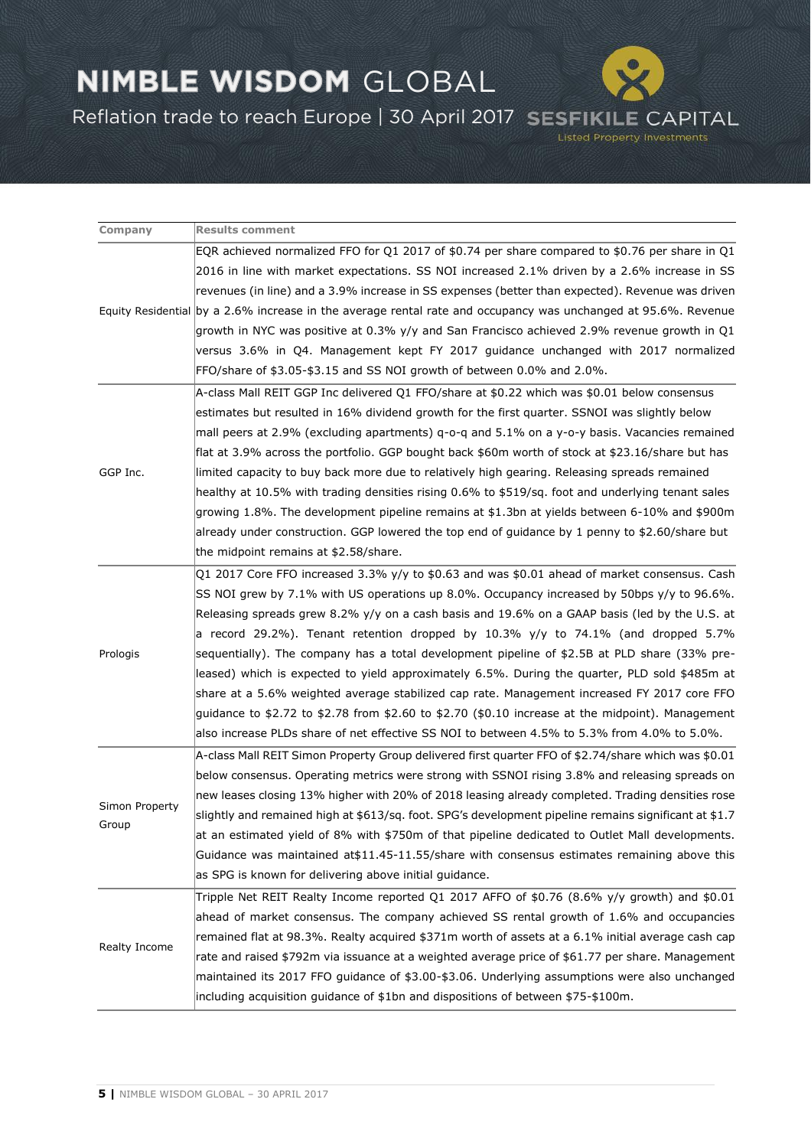Reflation trade to reach Europe | 30 April 2017 SESFIKILE CAPITAL

**Listed Property Investments** 

**Company Results comment** Equity Residential by a 2.6% increase in the average rental rate and occupancy was unchanged at 95.6%. Revenue EQR achieved normalized FFO for Q1 2017 of \$0.74 per share compared to \$0.76 per share in Q1 2016 in line with market expectations. SS NOI increased 2.1% driven by a 2.6% increase in SS revenues (in line) and a 3.9% increase in SS expenses (better than expected). Revenue was driven growth in NYC was positive at 0.3% y/y and San Francisco achieved 2.9% revenue growth in Q1 versus 3.6% in Q4. Management kept FY 2017 guidance unchanged with 2017 normalized FFO/share of \$3.05-\$3.15 and SS NOI growth of between 0.0% and 2.0%. GGP Inc. A-class Mall REIT GGP Inc delivered Q1 FFO/share at \$0.22 which was \$0.01 below consensus estimates but resulted in 16% dividend growth for the first quarter. SSNOI was slightly below mall peers at 2.9% (excluding apartments) q-o-q and 5.1% on a y-o-y basis. Vacancies remained flat at 3.9% across the portfolio. GGP bought back \$60m worth of stock at \$23.16/share but has limited capacity to buy back more due to relatively high gearing. Releasing spreads remained healthy at 10.5% with trading densities rising 0.6% to \$519/sq. foot and underlying tenant sales growing 1.8%. The development pipeline remains at \$1.3bn at yields between 6-10% and \$900m already under construction. GGP lowered the top end of guidance by 1 penny to \$2.60/share but the midpoint remains at \$2.58/share. Prologis Q1 2017 Core FFO increased 3.3% y/y to \$0.63 and was \$0.01 ahead of market consensus. Cash SS NOI grew by 7.1% with US operations up 8.0%. Occupancy increased by 50bps y/y to 96.6%. Releasing spreads grew 8.2% y/y on a cash basis and 19.6% on a GAAP basis (led by the U.S. at a record 29.2%). Tenant retention dropped by 10.3%  $y/y$  to 74.1% (and dropped 5.7% sequentially). The company has a total development pipeline of \$2.5B at PLD share (33% preleased) which is expected to yield approximately 6.5%. During the quarter, PLD sold \$485m at share at a 5.6% weighted average stabilized cap rate. Management increased FY 2017 core FFO guidance to \$2.72 to \$2.78 from \$2.60 to \$2.70 (\$0.10 increase at the midpoint). Management also increase PLDs share of net effective SS NOI to between 4.5% to 5.3% from 4.0% to 5.0%. Simon Property Group A-class Mall REIT Simon Property Group delivered first quarter FFO of \$2.74/share which was \$0.01 below consensus. Operating metrics were strong with SSNOI rising 3.8% and releasing spreads on new leases closing 13% higher with 20% of 2018 leasing already completed. Trading densities rose slightly and remained high at \$613/sq. foot. SPG's development pipeline remains significant at \$1.7 at an estimated yield of 8% with \$750m of that pipeline dedicated to Outlet Mall developments. Guidance was maintained at\$11.45-11.55/share with consensus estimates remaining above this as SPG is known for delivering above initial guidance. Realty Income Tripple Net REIT Realty Income reported Q1 2017 AFFO of \$0.76 (8.6% y/y growth) and \$0.01 ahead of market consensus. The company achieved SS rental growth of 1.6% and occupancies remained flat at 98.3%. Realty acquired \$371m worth of assets at a 6.1% initial average cash cap rate and raised \$792m via issuance at a weighted average price of \$61.77 per share. Management maintained its 2017 FFO guidance of \$3.00-\$3.06. Underlying assumptions were also unchanged including acquisition guidance of \$1bn and dispositions of between \$75-\$100m.